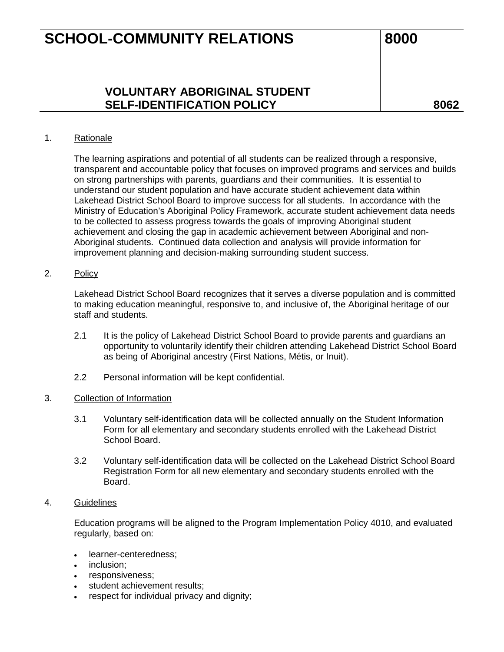## **VOLUNTARY ABORIGINAL STUDENT SELF-IDENTIFICATION POLICY 8062**

### 1. Rationale

The learning aspirations and potential of all students can be realized through a responsive, transparent and accountable policy that focuses on improved programs and services and builds on strong partnerships with parents, guardians and their communities. It is essential to understand our student population and have accurate student achievement data within Lakehead District School Board to improve success for all students. In accordance with the Ministry of Education's Aboriginal Policy Framework, accurate student achievement data needs to be collected to assess progress towards the goals of improving Aboriginal student achievement and closing the gap in academic achievement between Aboriginal and non-Aboriginal students. Continued data collection and analysis will provide information for improvement planning and decision-making surrounding student success.

### 2. Policy

Lakehead District School Board recognizes that it serves a diverse population and is committed to making education meaningful, responsive to, and inclusive of, the Aboriginal heritage of our staff and students.

- 2.1 It is the policy of Lakehead District School Board to provide parents and guardians an opportunity to voluntarily identify their children attending Lakehead District School Board as being of Aboriginal ancestry (First Nations, Métis, or Inuit).
- 2.2 Personal information will be kept confidential.

#### 3. Collection of Information

- 3.1 Voluntary self-identification data will be collected annually on the Student Information Form for all elementary and secondary students enrolled with the Lakehead District School Board.
- 3.2 Voluntary self-identification data will be collected on the Lakehead District School Board Registration Form for all new elementary and secondary students enrolled with the Board.

#### 4. Guidelines

Education programs will be aligned to the Program Implementation Policy 4010, and evaluated regularly, based on:

- learner-centeredness;
- inclusion:
- responsiveness;
- student achievement results:
- respect for individual privacy and dignity;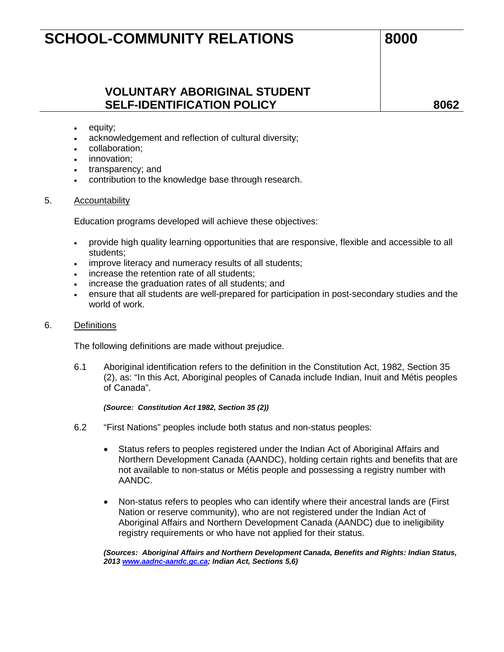## **VOLUNTARY ABORIGINAL STUDENT SELF-IDENTIFICATION POLICY 8062**

- equity;
- acknowledgement and reflection of cultural diversity;
- collaboration;
- innovation:
- transparency; and
- contribution to the knowledge base through research.

#### 5. Accountability

Education programs developed will achieve these objectives:

- provide high quality learning opportunities that are responsive, flexible and accessible to all students;
- improve literacy and numeracy results of all students;
- increase the retention rate of all students:
- increase the graduation rates of all students; and
- ensure that all students are well-prepared for participation in post-secondary studies and the world of work.

#### 6. Definitions

The following definitions are made without prejudice.

6.1 Aboriginal identification refers to the definition in the Constitution Act, 1982, Section 35 (2), as: "In this Act, Aboriginal peoples of Canada include Indian, Inuit and Métis peoples of Canada".

*(Source: Constitution Act 1982, Section 35 (2))*

- 6.2 "First Nations" peoples include both status and non-status peoples:
	- Status refers to peoples registered under the Indian Act of Aboriginal Affairs and Northern Development Canada (AANDC), holding certain rights and benefits that are not available to non-status or Métis people and possessing a registry number with AANDC.
	- Non-status refers to peoples who can identify where their ancestral lands are (First Nation or reserve community), who are not registered under the Indian Act of Aboriginal Affairs and Northern Development Canada (AANDC) due to ineligibility registry requirements or who have not applied for their status.

*(Sources: Aboriginal Affairs and Northern Development Canada, Benefits and Rights: Indian Status, 201[3 www.aadnc-aandc.gc.ca;](http://www.aadnc-aandc.gc.ca/) Indian Act, Sections 5,6)*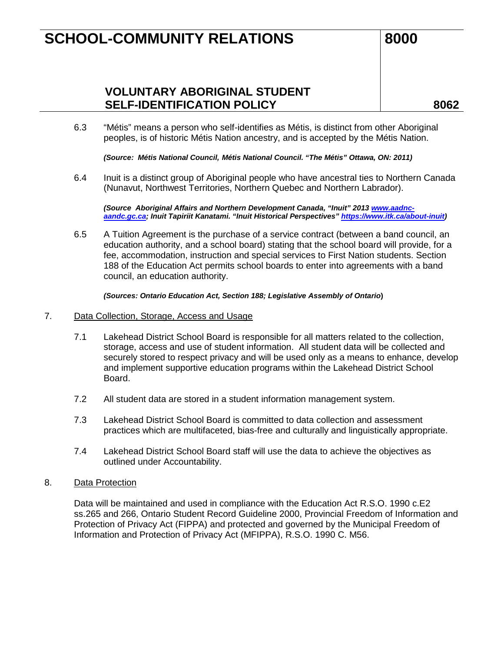**VOLUNTARY ABORIGINAL STUDENT SELF-IDENTIFICATION POLICY 8062**

6.3 "Métis" means a person who self-identifies as Métis, is distinct from other Aboriginal peoples, is of historic Métis Nation ancestry, and is accepted by the Métis Nation.

*(Source: Métis National Council, Métis National Council. "The Métis" Ottawa, ON: 2011)*

6.4 Inuit is a distinct group of Aboriginal people who have ancestral ties to Northern Canada (Nunavut, Northwest Territories, Northern Quebec and Northern Labrador).

*(Source Aboriginal Affairs and Northern Development Canada, "Inuit" 2013 [www.aadnc](http://www.aadnc-aandc.gc.ca/)[aandc.gc.ca;](http://www.aadnc-aandc.gc.ca/) Inuit Tapiriit Kanatami. "Inuit Historical Perspectives[" https://www.itk.ca/about-inuit\)](https://www.itk.ca/about-inuit)*

6.5 A Tuition Agreement is the purchase of a service contract (between a band council, an education authority, and a school board) stating that the school board will provide, for a fee, accommodation, instruction and special services to First Nation students. Section 188 of the Education Act permits school boards to enter into agreements with a band council, an education authority.

*(Sources: Ontario Education Act, Section 188; Legislative Assembly of Ontario***)**

#### 7. Data Collection, Storage, Access and Usage

- 7.1 Lakehead District School Board is responsible for all matters related to the collection, storage, access and use of student information. All student data will be collected and securely stored to respect privacy and will be used only as a means to enhance, develop and implement supportive education programs within the Lakehead District School Board.
- 7.2 All student data are stored in a student information management system.
- 7.3 Lakehead District School Board is committed to data collection and assessment practices which are multifaceted, bias-free and culturally and linguistically appropriate.
- 7.4 Lakehead District School Board staff will use the data to achieve the objectives as outlined under Accountability.

#### 8. Data Protection

Data will be maintained and used in compliance with the Education Act R.S.O. 1990 c.E2 ss.265 and 266, Ontario Student Record Guideline 2000, Provincial Freedom of Information and Protection of Privacy Act (FIPPA) and protected and governed by the Municipal Freedom of Information and Protection of Privacy Act (MFIPPA), R.S.O. 1990 C. M56.